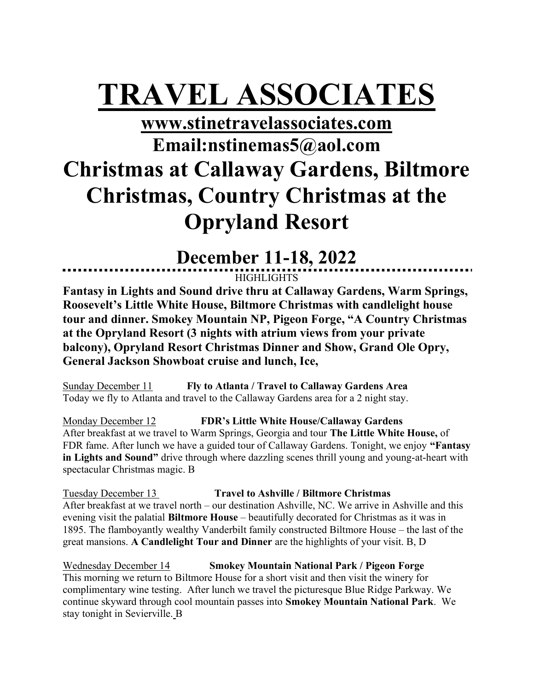# TRAVEL ASSOCIATES

## www.stinetravelassociates.com Email:nstinemas5@aol.com Christmas at Callaway Gardens, Biltmore Christmas, Country Christmas at the Opryland Resort

## December 11-18, 2022

**HIGHLIGHTS** 

Fantasy in Lights and Sound drive thru at Callaway Gardens, Warm Springs, Roosevelt's Little White House, Biltmore Christmas with candlelight house tour and dinner. Smokey Mountain NP, Pigeon Forge, "A Country Christmas at the Opryland Resort (3 nights with atrium views from your private balcony), Opryland Resort Christmas Dinner and Show, Grand Ole Opry, General Jackson Showboat cruise and lunch, Ice,

Sunday December 11 Fly to Atlanta / Travel to Callaway Gardens Area Today we fly to Atlanta and travel to the Callaway Gardens area for a 2 night stay.

Monday December 12 FDR's Little White House/Callaway Gardens After breakfast at we travel to Warm Springs, Georgia and tour The Little White House, of FDR fame. After lunch we have a guided tour of Callaway Gardens. Tonight, we enjoy "Fantasy in Lights and Sound" drive through where dazzling scenes thrill young and young-at-heart with spectacular Christmas magic. B

Tuesday December 13 Travel to Ashville / Biltmore Christmas After breakfast at we travel north – our destination Ashville, NC. We arrive in Ashville and this evening visit the palatial Biltmore House – beautifully decorated for Christmas as it was in 1895. The flamboyantly wealthy Vanderbilt family constructed Biltmore House – the last of the great mansions. A Candlelight Tour and Dinner are the highlights of your visit. B, D

Wednesday December 14 Smokey Mountain National Park / Pigeon Forge This morning we return to Biltmore House for a short visit and then visit the winery for complimentary wine testing. After lunch we travel the picturesque Blue Ridge Parkway. We continue skyward through cool mountain passes into Smokey Mountain National Park. We stay tonight in Sevierville. B